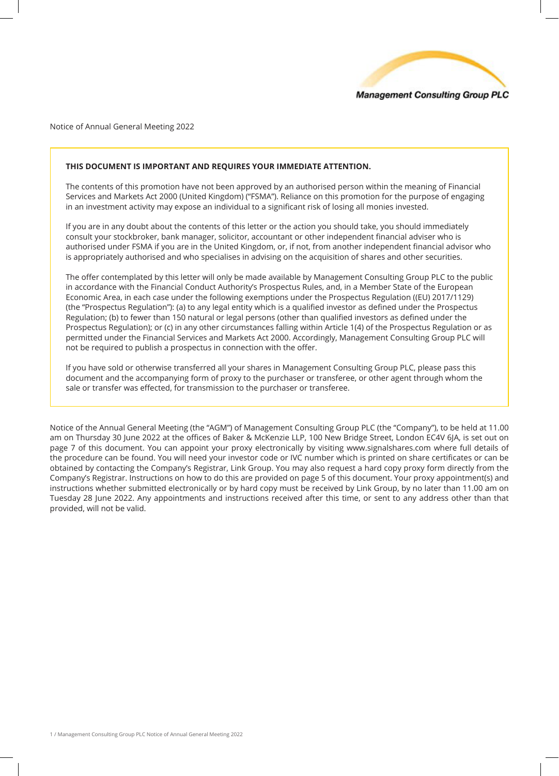

Notice of Annual General Meeting 2022

# **THIS DOCUMENT IS IMPORTANT AND REQUIRES YOUR IMMEDIATE ATTENTION.**

The contents of this promotion have not been approved by an authorised person within the meaning of Financial Services and Markets Act 2000 (United Kingdom) ("FSMA"). Reliance on this promotion for the purpose of engaging in an investment activity may expose an individual to a significant risk of losing all monies invested.

If you are in any doubt about the contents of this letter or the action you should take, you should immediately consult your stockbroker, bank manager, solicitor, accountant or other independent financial adviser who is authorised under FSMA if you are in the United Kingdom, or, if not, from another independent financial advisor who is appropriately authorised and who specialises in advising on the acquisition of shares and other securities.

The offer contemplated by this letter will only be made available by Management Consulting Group PLC to the public in accordance with the Financial Conduct Authority's Prospectus Rules, and, in a Member State of the European Economic Area, in each case under the following exemptions under the Prospectus Regulation ((EU) 2017/1129) (the "Prospectus Regulation"): (a) to any legal entity which is a qualified investor as defined under the Prospectus Regulation; (b) to fewer than 150 natural or legal persons (other than qualified investors as defined under the Prospectus Regulation); or (c) in any other circumstances falling within Article 1(4) of the Prospectus Regulation or as permitted under the Financial Services and Markets Act 2000. Accordingly, Management Consulting Group PLC will not be required to publish a prospectus in connection with the offer.

If you have sold or otherwise transferred all your shares in Management Consulting Group PLC, please pass this document and the accompanying form of proxy to the purchaser or transferee, or other agent through whom the sale or transfer was effected, for transmission to the purchaser or transferee.

Notice of the Annual General Meeting (the "AGM") of Management Consulting Group PLC (the "Company"), to be held at 11.00 am on Thursday 30 June 2022 at the offices of Baker & McKenzie LLP, 100 New Bridge Street, London EC4V 6JA, is set out on page 7 of this document. You can appoint your proxy electronically by visiting www.signalshares.com where full details of the procedure can be found. You will need your investor code or IVC number which is printed on share certificates or can be obtained by contacting the Company's Registrar, Link Group. You may also request a hard copy proxy form directly from the Company's Registrar. Instructions on how to do this are provided on page 5 of this document. Your proxy appointment(s) and instructions whether submitted electronically or by hard copy must be received by Link Group, by no later than 11.00 am on Tuesday 28 June 2022. Any appointments and instructions received after this time, or sent to any address other than that provided, will not be valid.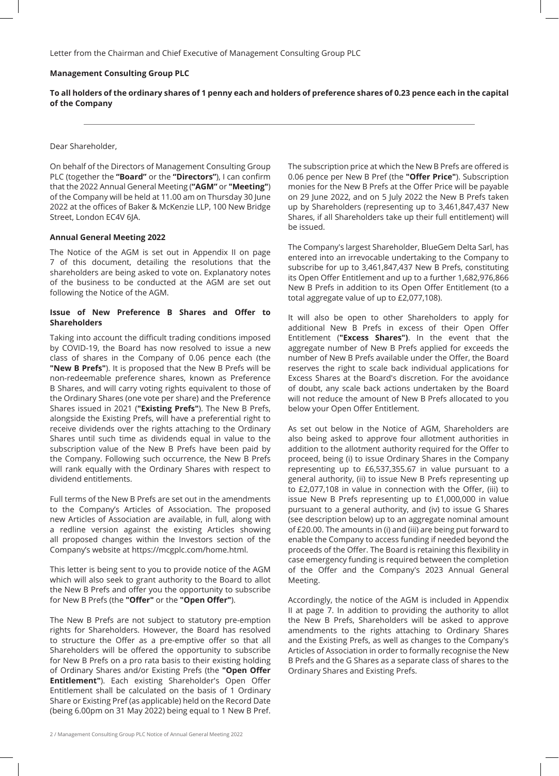Letter from the Chairman and Chief Executive of Management Consulting Group PLC

### **Management Consulting Group PLC**

**To all holders of the ordinary shares of 1 penny each and holders of preference shares of 0.23 pence each in the capital of the Company**

#### Dear Shareholder,

On behalf of the Directors of Management Consulting Group PLC (together the **"Board"** or the **"Directors"**), I can confirm that the 2022 Annual General Meeting (**"AGM"** or **"Meeting"**) of the Company will be held at 11.00 am on Thursday 30 June 2022 at the offices of Baker & McKenzie LLP, 100 New Bridge Street, London EC4V 6JA.

### **Annual General Meeting 2022**

The Notice of the AGM is set out in Appendix II on page 7 of this document, detailing the resolutions that the shareholders are being asked to vote on. Explanatory notes of the business to be conducted at the AGM are set out following the Notice of the AGM.

# **Issue of New Preference B Shares and Offer to Shareholders**

Taking into account the difficult trading conditions imposed by COVID-19, the Board has now resolved to issue a new class of shares in the Company of 0.06 pence each (the **"New B Prefs"**). It is proposed that the New B Prefs will be non-redeemable preference shares, known as Preference B Shares, and will carry voting rights equivalent to those of the Ordinary Shares (one vote per share) and the Preference Shares issued in 2021 (**"Existing Prefs"**). The New B Prefs, alongside the Existing Prefs, will have a preferential right to receive dividends over the rights attaching to the Ordinary Shares until such time as dividends equal in value to the subscription value of the New B Prefs have been paid by the Company. Following such occurrence, the New B Prefs will rank equally with the Ordinary Shares with respect to dividend entitlements.

Full terms of the New B Prefs are set out in the amendments to the Company's Articles of Association. The proposed new Articles of Association are available, in full, along with a redline version against the existing Articles showing all proposed changes within the Investors section of the Company's website at https://mcgplc.com/home.html.

This letter is being sent to you to provide notice of the AGM which will also seek to grant authority to the Board to allot the New B Prefs and offer you the opportunity to subscribe for New B Prefs (the **"Offer"** or the **"Open Offer"**).

The New B Prefs are not subject to statutory pre-emption rights for Shareholders. However, the Board has resolved to structure the Offer as a pre-emptive offer so that all Shareholders will be offered the opportunity to subscribe for New B Prefs on a pro rata basis to their existing holding of Ordinary Shares and/or Existing Prefs (the **"Open Offer Entitlement"**). Each existing Shareholder's Open Offer Entitlement shall be calculated on the basis of 1 Ordinary Share or Existing Pref (as applicable) held on the Record Date (being 6.00pm on 31 May 2022) being equal to 1 New B Pref.

The subscription price at which the New B Prefs are offered is 0.06 pence per New B Pref (the **"Offer Price"**). Subscription monies for the New B Prefs at the Offer Price will be payable on 29 June 2022, and on 5 July 2022 the New B Prefs taken up by Shareholders (representing up to 3,461,847,437 New Shares, if all Shareholders take up their full entitlement) will be issued.

The Company's largest Shareholder, BlueGem Delta Sarl, has entered into an irrevocable undertaking to the Company to subscribe for up to 3,461,847,437 New B Prefs, constituting its Open Offer Entitlement and up to a further 1,682,976,866 New B Prefs in addition to its Open Offer Entitlement (to a total aggregate value of up to £2,077,108).

It will also be open to other Shareholders to apply for additional New B Prefs in excess of their Open Offer Entitlement (**"Excess Shares")**. In the event that the aggregate number of New B Prefs applied for exceeds the number of New B Prefs available under the Offer, the Board reserves the right to scale back individual applications for Excess Shares at the Board's discretion. For the avoidance of doubt, any scale back actions undertaken by the Board will not reduce the amount of New B Prefs allocated to you below your Open Offer Entitlement.

As set out below in the Notice of AGM, Shareholders are also being asked to approve four allotment authorities in addition to the allotment authority required for the Offer to proceed, being (i) to issue Ordinary Shares in the Company representing up to £6,537,355.67 in value pursuant to a general authority, (ii) to issue New B Prefs representing up to £2,077,108 in value in connection with the Offer, (iii) to issue New B Prefs representing up to £1,000,000 in value pursuant to a general authority, and (iv) to issue G Shares (see description below) up to an aggregate nominal amount of £20.00. The amounts in (i) and (iii) are being put forward to enable the Company to access funding if needed beyond the proceeds of the Offer. The Board is retaining this flexibility in case emergency funding is required between the completion of the Offer and the Company's 2023 Annual General Meeting.

Accordingly, the notice of the AGM is included in Appendix II at page 7. In addition to providing the authority to allot the New B Prefs, Shareholders will be asked to approve amendments to the rights attaching to Ordinary Shares and the Existing Prefs, as well as changes to the Company's Articles of Association in order to formally recognise the New B Prefs and the G Shares as a separate class of shares to the Ordinary Shares and Existing Prefs.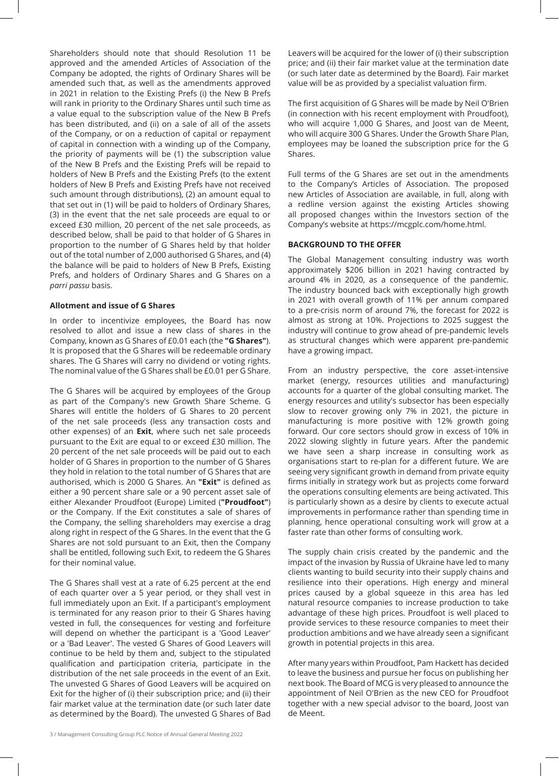Shareholders should note that should Resolution 11 be approved and the amended Articles of Association of the Company be adopted, the rights of Ordinary Shares will be amended such that, as well as the amendments approved in 2021 in relation to the Existing Prefs (i) the New B Prefs will rank in priority to the Ordinary Shares until such time as a value equal to the subscription value of the New B Prefs has been distributed, and (ii) on a sale of all of the assets of the Company, or on a reduction of capital or repayment of capital in connection with a winding up of the Company, the priority of payments will be (1) the subscription value of the New B Prefs and the Existing Prefs will be repaid to holders of New B Prefs and the Existing Prefs (to the extent holders of New B Prefs and Existing Prefs have not received such amount through distributions), (2) an amount equal to that set out in (1) will be paid to holders of Ordinary Shares, (3) in the event that the net sale proceeds are equal to or exceed £30 million, 20 percent of the net sale proceeds, as described below, shall be paid to that holder of G Shares in proportion to the number of G Shares held by that holder out of the total number of 2,000 authorised G Shares, and (4) the balance will be paid to holders of New B Prefs, Existing Prefs, and holders of Ordinary Shares and G Shares on a *parri passu* basis.

## **Allotment and issue of G Shares**

In order to incentivize employees, the Board has now resolved to allot and issue a new class of shares in the Company, known as G Shares of £0.01 each (the **"G Shares"**). It is proposed that the G Shares will be redeemable ordinary shares. The G Shares will carry no dividend or voting rights. The nominal value of the G Shares shall be £0.01 per G Share.

The G Shares will be acquired by employees of the Group as part of the Company's new Growth Share Scheme. G Shares will entitle the holders of G Shares to 20 percent of the net sale proceeds (less any transaction costs and other expenses) of an **Exit**, where such net sale proceeds pursuant to the Exit are equal to or exceed £30 million. The 20 percent of the net sale proceeds will be paid out to each holder of G Shares in proportion to the number of G Shares they hold in relation to the total number of G Shares that are authorised, which is 2000 G Shares. An **"Exit"** is defined as either a 90 percent share sale or a 90 percent asset sale of either Alexander Proudfoot (Europe) Limited (**"Proudfoot"**) or the Company. If the Exit constitutes a sale of shares of the Company, the selling shareholders may exercise a drag along right in respect of the G Shares. In the event that the G Shares are not sold pursuant to an Exit, then the Company shall be entitled, following such Exit, to redeem the G Shares for their nominal value.

The G Shares shall vest at a rate of 6.25 percent at the end of each quarter over a 5 year period, or they shall vest in full immediately upon an Exit. If a participant's employment is terminated for any reason prior to their G Shares having vested in full, the consequences for vesting and forfeiture will depend on whether the participant is a 'Good Leaver' or a 'Bad Leaver'. The vested G Shares of Good Leavers will continue to be held by them and, subject to the stipulated qualification and participation criteria, participate in the distribution of the net sale proceeds in the event of an Exit. The unvested G Shares of Good Leavers will be acquired on Exit for the higher of (i) their subscription price; and (ii) their fair market value at the termination date (or such later date as determined by the Board). The unvested G Shares of Bad

Leavers will be acquired for the lower of (i) their subscription price; and (ii) their fair market value at the termination date (or such later date as determined by the Board). Fair market value will be as provided by a specialist valuation firm.

The first acquisition of G Shares will be made by Neil O'Brien (in connection with his recent employment with Proudfoot), who will acquire 1,000 G Shares, and Joost van de Meent, who will acquire 300 G Shares. Under the Growth Share Plan, employees may be loaned the subscription price for the G Shares.

Full terms of the G Shares are set out in the amendments to the Company's Articles of Association. The proposed new Articles of Association are available, in full, along with a redline version against the existing Articles showing all proposed changes within the Investors section of the Company's website at https://mcgplc.com/home.html.

### **BACKGROUND TO THE OFFER**

The Global Management consulting industry was worth approximately \$206 billion in 2021 having contracted by around 4% in 2020, as a consequence of the pandemic. The industry bounced back with exceptionally high growth in 2021 with overall growth of 11% per annum compared to a pre-crisis norm of around 7%, the forecast for 2022 is almost as strong at 10%. Projections to 2025 suggest the industry will continue to grow ahead of pre-pandemic levels as structural changes which were apparent pre-pandemic have a growing impact.

From an industry perspective, the core asset-intensive market (energy, resources utilities and manufacturing) accounts for a quarter of the global consulting market. The energy resources and utility's subsector has been especially slow to recover growing only 7% in 2021, the picture in manufacturing is more positive with 12% growth going forward. Our core sectors should grow in excess of 10% in 2022 slowing slightly in future years. After the pandemic we have seen a sharp increase in consulting work as organisations start to re-plan for a different future. We are seeing very significant growth in demand from private equity firms initially in strategy work but as projects come forward the operations consulting elements are being activated. This is particularly shown as a desire by clients to execute actual improvements in performance rather than spending time in planning, hence operational consulting work will grow at a faster rate than other forms of consulting work.

The supply chain crisis created by the pandemic and the impact of the invasion by Russia of Ukraine have led to many clients wanting to build security into their supply chains and resilience into their operations. High energy and mineral prices caused by a global squeeze in this area has led natural resource companies to increase production to take advantage of these high prices. Proudfoot is well placed to provide services to these resource companies to meet their production ambitions and we have already seen a significant growth in potential projects in this area.

After many years within Proudfoot, Pam Hackett has decided to leave the business and pursue her focus on publishing her next book. The Board of MCG is very pleased to announce the appointment of Neil O'Brien as the new CEO for Proudfoot together with a new special advisor to the board, Joost van de Meent.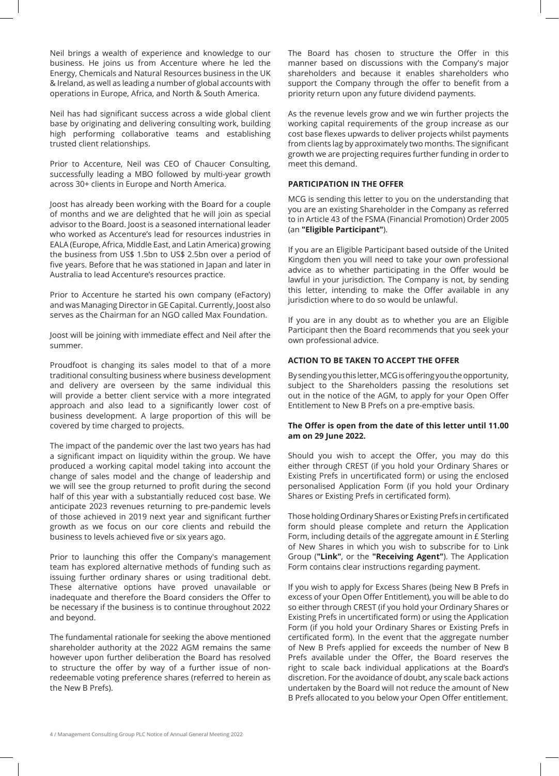Neil brings a wealth of experience and knowledge to our business. He joins us from Accenture where he led the Energy, Chemicals and Natural Resources business in the UK & Ireland, as well as leading a number of global accounts with operations in Europe, Africa, and North & South America.

Neil has had significant success across a wide global client base by originating and delivering consulting work, building high performing collaborative teams and establishing trusted client relationships.

Prior to Accenture, Neil was CEO of Chaucer Consulting, successfully leading a MBO followed by multi-year growth across 30+ clients in Europe and North America.

Joost has already been working with the Board for a couple of months and we are delighted that he will join as special advisor to the Board. Joost is a seasoned international leader who worked as Accenture's lead for resources industries in EALA (Europe, Africa, Middle East, and Latin America) growing the business from US\$ 1.5bn to US\$ 2.5bn over a period of five years. Before that he was stationed in Japan and later in Australia to lead Accenture's resources practice.

Prior to Accenture he started his own company (eFactory) and was Managing Director in GE Capital. Currently, Joost also serves as the Chairman for an NGO called Max Foundation.

Joost will be joining with immediate effect and Neil after the summer.

Proudfoot is changing its sales model to that of a more traditional consulting business where business development and delivery are overseen by the same individual this will provide a better client service with a more integrated approach and also lead to a significantly lower cost of business development. A large proportion of this will be covered by time charged to projects.

The impact of the pandemic over the last two years has had a significant impact on liquidity within the group. We have produced a working capital model taking into account the change of sales model and the change of leadership and we will see the group returned to profit during the second half of this year with a substantially reduced cost base. We anticipate 2023 revenues returning to pre-pandemic levels of those achieved in 2019 next year and significant further growth as we focus on our core clients and rebuild the business to levels achieved five or six years ago.

Prior to launching this offer the Company's management team has explored alternative methods of funding such as issuing further ordinary shares or using traditional debt. These alternative options have proved unavailable or inadequate and therefore the Board considers the Offer to be necessary if the business is to continue throughout 2022 and beyond.

The fundamental rationale for seeking the above mentioned shareholder authority at the 2022 AGM remains the same however upon further deliberation the Board has resolved to structure the offer by way of a further issue of nonredeemable voting preference shares (referred to herein as the New B Prefs).

The Board has chosen to structure the Offer in this manner based on discussions with the Company's major shareholders and because it enables shareholders who support the Company through the offer to benefit from a priority return upon any future dividend payments.

As the revenue levels grow and we win further projects the working capital requirements of the group increase as our cost base flexes upwards to deliver projects whilst payments from clients lag by approximately two months. The significant growth we are projecting requires further funding in order to meet this demand.

## **PARTICIPATION IN THE OFFER**

MCG is sending this letter to you on the understanding that you are an existing Shareholder in the Company as referred to in Article 43 of the FSMA (Financial Promotion) Order 2005 (an **"Eligible Participant"**).

If you are an Eligible Participant based outside of the United Kingdom then you will need to take your own professional advice as to whether participating in the Offer would be lawful in your jurisdiction. The Company is not, by sending this letter, intending to make the Offer available in any jurisdiction where to do so would be unlawful.

If you are in any doubt as to whether you are an Eligible Participant then the Board recommends that you seek your own professional advice.

# **ACTION TO BE TAKEN TO ACCEPT THE OFFER**

By sending you this letter, MCG is offering you the opportunity, subject to the Shareholders passing the resolutions set out in the notice of the AGM, to apply for your Open Offer Entitlement to New B Prefs on a pre-emptive basis.

## **The Offer is open from the date of this letter until 11.00 am on 29 June 2022.**

Should you wish to accept the Offer, you may do this either through CREST (if you hold your Ordinary Shares or Existing Prefs in uncertificated form) or using the enclosed personalised Application Form (if you hold your Ordinary Shares or Existing Prefs in certificated form).

Those holding Ordinary Shares or Existing Prefs in certificated form should please complete and return the Application Form, including details of the aggregate amount in £ Sterling of New Shares in which you wish to subscribe for to Link Group (**"Link"**, or the **"Receiving Agent"**). The Application Form contains clear instructions regarding payment.

If you wish to apply for Excess Shares (being New B Prefs in excess of your Open Offer Entitlement), you will be able to do so either through CREST (if you hold your Ordinary Shares or Existing Prefs in uncertificated form) or using the Application Form (if you hold your Ordinary Shares or Existing Prefs in certificated form). In the event that the aggregate number of New B Prefs applied for exceeds the number of New B Prefs available under the Offer, the Board reserves the right to scale back individual applications at the Board's discretion. For the avoidance of doubt, any scale back actions undertaken by the Board will not reduce the amount of New B Prefs allocated to you below your Open Offer entitlement.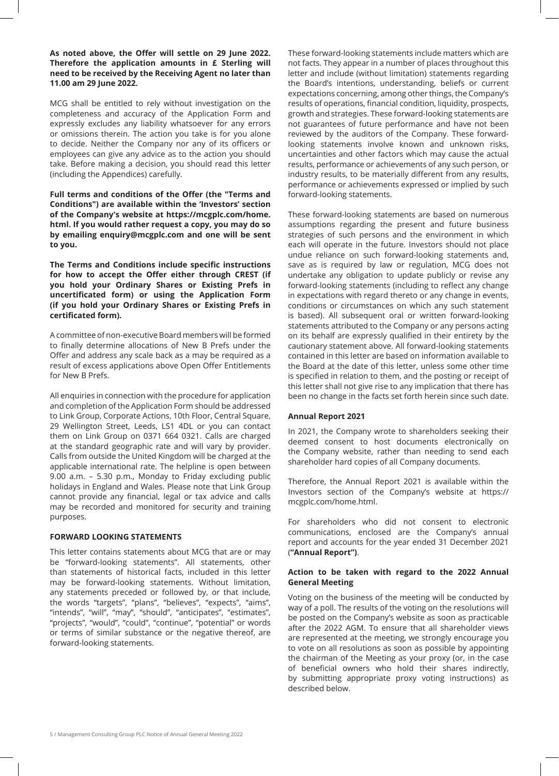**As noted above, the Offer will settle on 29 June 2022. Therefore the application amounts in £ Sterling will need to be received by the Receiving Agent no later than 11.00 am 29 June 2022.**

MCG shall be entitled to rely without investigation on the completeness and accuracy of the Application Form and expressly excludes any liability whatsoever for any errors or omissions therein. The action you take is for you alone to decide. Neither the Company nor any of its officers or employees can give any advice as to the action you should take. Before making a decision, you should read this letter (including the Appendices) carefully.

**Full terms and conditions of the Offer (the "Terms and Conditions") are available within the 'Investors' section of the Company's website at https://mcgplc.com/home. html. If you would rather request a copy, you may do so by emailing enquiry@mcgplc.com and one will be sent to you.**

**The Terms and Conditions include specific instructions for how to accept the Offer either through CREST (if you hold your Ordinary Shares or Existing Prefs in uncertificated form) or using the Application Form (if you hold your Ordinary Shares or Existing Prefs in certificated form).**

A committee of non-executive Board members will be formed to finally determine allocations of New B Prefs under the Offer and address any scale back as a may be required as a result of excess applications above Open Offer Entitlements for New B Prefs.

All enquiries in connection with the procedure for application and completion of the Application Form should be addressed to Link Group, Corporate Actions, 10th Floor, Central Square, 29 Wellington Street, Leeds, LS1 4DL or you can contact them on Link Group on 0371 664 0321. Calls are charged at the standard geographic rate and will vary by provider. Calls from outside the United Kingdom will be charged at the applicable international rate. The helpline is open between 9.00 a.m. – 5.30 p.m., Monday to Friday excluding public holidays in England and Wales. Please note that Link Group cannot provide any financial, legal or tax advice and calls may be recorded and monitored for security and training purposes.

### **FORWARD LOOKING STATEMENTS**

This letter contains statements about MCG that are or may be "forward-looking statements". All statements, other than statements of historical facts, included in this letter may be forward-looking statements. Without limitation, any statements preceded or followed by, or that include, the words "targets", "plans", "believes", "expects", "aims", "intends", "will", "may", "should", "anticipates", "estimates", "projects", "would", "could", "continue", "potential" or words or terms of similar substance or the negative thereof, are forward-looking statements.

5 / Management Consulting Group PLC Notice of Annual General Meeting 2022

These forward-looking statements include matters which are not facts. They appear in a number of places throughout this letter and include (without limitation) statements regarding the Board's intentions, understanding, beliefs or current expectations concerning, among other things, the Company's results of operations, financial condition, liquidity, prospects, growth and strategies. These forward-looking statements are not guarantees of future performance and have not been reviewed by the auditors of the Company. These forwardlooking statements involve known and unknown risks, uncertainties and other factors which may cause the actual results, performance or achievements of any such person, or industry results, to be materially different from any results, performance or achievements expressed or implied by such forward-looking statements.

These forward-looking statements are based on numerous assumptions regarding the present and future business strategies of such persons and the environment in which each will operate in the future. Investors should not place undue reliance on such forward-looking statements and, save as is required by law or regulation, MCG does not undertake any obligation to update publicly or revise any forward-looking statements (including to reflect any change in expectations with regard thereto or any change in events, conditions or circumstances on which any such statement is based). All subsequent oral or written forward-looking statements attributed to the Company or any persons acting on its behalf are expressly qualified in their entirety by the cautionary statement above. All forward-looking statements contained in this letter are based on information available to the Board at the date of this letter, unless some other time is specified in relation to them, and the posting or receipt of this letter shall not give rise to any implication that there has been no change in the facts set forth herein since such date.

### **Annual Report 2021**

In 2021, the Company wrote to shareholders seeking their deemed consent to host documents electronically on the Company website, rather than needing to send each shareholder hard copies of all Company documents.

Therefore, the Annual Report 2021 is available within the Investors section of the Company's website at https:// mcgplc.com/home.html.

For shareholders who did not consent to electronic communications, enclosed are the Company's annual report and accounts for the year ended 31 December 2021 (**"Annual Report")**.

## **Action to be taken with regard to the 2022 Annual General Meeting**

Voting on the business of the meeting will be conducted by way of a poll. The results of the voting on the resolutions will be posted on the Company's website as soon as practicable after the 2022 AGM. To ensure that all shareholder views are represented at the meeting, we strongly encourage you to vote on all resolutions as soon as possible by appointing the chairman of the Meeting as your proxy (or, in the case of beneficial owners who hold their shares indirectly, by submitting appropriate proxy voting instructions) as described below.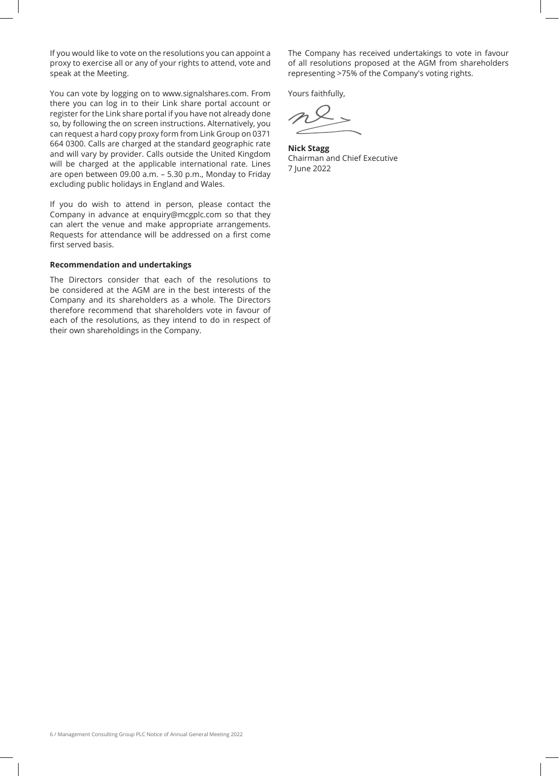If you would like to vote on the resolutions you can appoint a proxy to exercise all or any of your rights to attend, vote and speak at the Meeting.

You can vote by logging on to www.signalshares.com. From there you can log in to their Link share portal account or register for the Link share portal if you have not already done so, by following the on screen instructions. Alternatively, you can request a hard copy proxy form from Link Group on 0371 664 0300. Calls are charged at the standard geographic rate and will vary by provider. Calls outside the United Kingdom will be charged at the applicable international rate. Lines are open between 09.00 a.m. – 5.30 p.m., Monday to Friday excluding public holidays in England and Wales.

If you do wish to attend in person, please contact the Company in advance at enquiry@mcgplc.com so that they can alert the venue and make appropriate arrangements. Requests for attendance will be addressed on a first come first served basis.

# **Recommendation and undertakings**

The Directors consider that each of the resolutions to be considered at the AGM are in the best interests of the Company and its shareholders as a whole. The Directors therefore recommend that shareholders vote in favour of each of the resolutions, as they intend to do in respect of their own shareholdings in the Company.

The Company has received undertakings to vote in favour of all resolutions proposed at the AGM from shareholders representing >75% of the Company's voting rights.

Yours faithfully,

**Nick Stagg** Chairman and Chief Executive 7 June 2022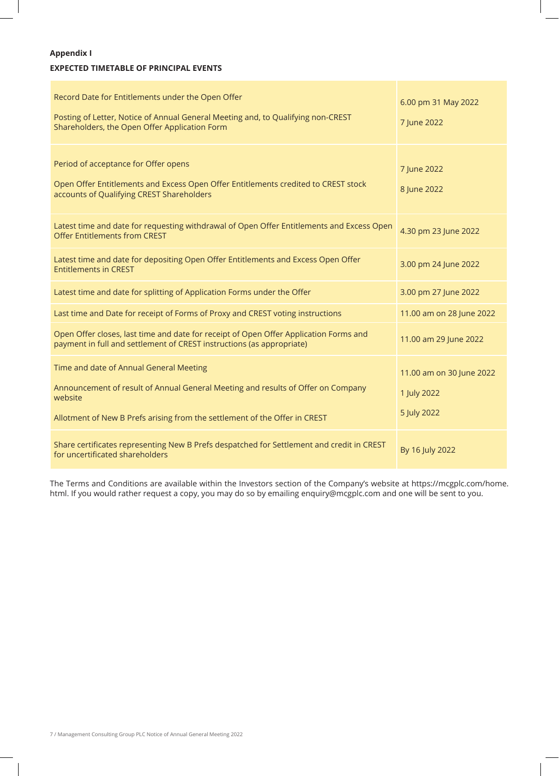# **Appendix I**

# **EXPECTED TIMETABLE OF PRINCIPAL EVENTS**

| Record Date for Entitlements under the Open Offer<br>Posting of Letter, Notice of Annual General Meeting and, to Qualifying non-CREST<br>Shareholders, the Open Offer Application Form                               | 6.00 pm 31 May 2022<br>7 June 2022                     |
|----------------------------------------------------------------------------------------------------------------------------------------------------------------------------------------------------------------------|--------------------------------------------------------|
| Period of acceptance for Offer opens<br>Open Offer Entitlements and Excess Open Offer Entitlements credited to CREST stock<br>accounts of Qualifying CREST Shareholders                                              | 7 June 2022<br>8 June 2022                             |
| Latest time and date for requesting withdrawal of Open Offer Entitlements and Excess Open<br><b>Offer Entitlements from CREST</b>                                                                                    | 4.30 pm 23 June 2022                                   |
| Latest time and date for depositing Open Offer Entitlements and Excess Open Offer<br><b>Entitlements in CREST</b>                                                                                                    | 3.00 pm 24 June 2022                                   |
| Latest time and date for splitting of Application Forms under the Offer                                                                                                                                              | 3.00 pm 27 June 2022                                   |
| Last time and Date for receipt of Forms of Proxy and CREST voting instructions                                                                                                                                       | 11.00 am on 28 June 2022                               |
| Open Offer closes, last time and date for receipt of Open Offer Application Forms and<br>payment in full and settlement of CREST instructions (as appropriate)                                                       | 11.00 am 29 June 2022                                  |
| Time and date of Annual General Meeting<br>Announcement of result of Annual General Meeting and results of Offer on Company<br>website<br>Allotment of New B Prefs arising from the settlement of the Offer in CREST | 11.00 am on 30 June 2022<br>1 July 2022<br>5 July 2022 |
| Share certificates representing New B Prefs despatched for Settlement and credit in CREST<br>for uncertificated shareholders                                                                                         | By 16 July 2022                                        |

The Terms and Conditions are available within the Investors section of the Company's website at https://mcgplc.com/home. html. If you would rather request a copy, you may do so by emailing enquiry@mcgplc.com and one will be sent to you.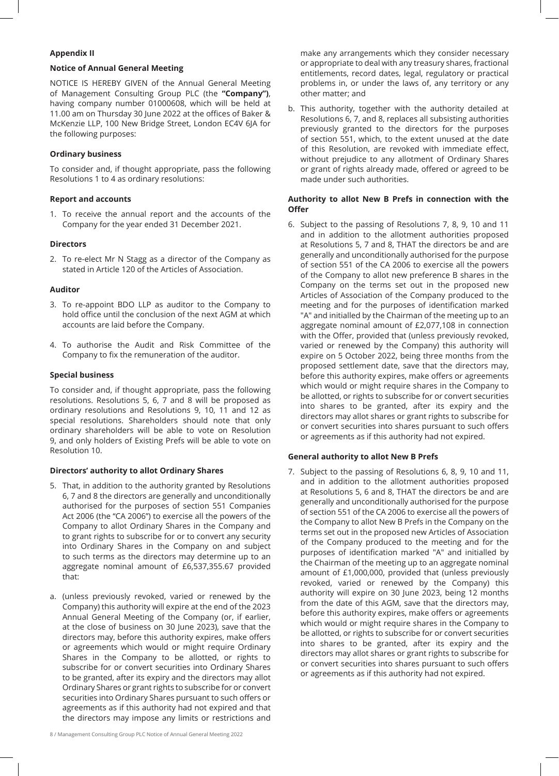## **Appendix II**

## **Notice of Annual General Meeting**

NOTICE IS HEREBY GIVEN of the Annual General Meeting of Management Consulting Group PLC (the **"Company")**, having company number 01000608, which will be held at 11.00 am on Thursday 30 June 2022 at the offices of Baker & McKenzie LLP, 100 New Bridge Street, London EC4V 6JA for the following purposes:

# **Ordinary business**

To consider and, if thought appropriate, pass the following Resolutions 1 to 4 as ordinary resolutions:

## **Report and accounts**

1. To receive the annual report and the accounts of the Company for the year ended 31 December 2021.

## **Directors**

2. To re-elect Mr N Stagg as a director of the Company as stated in Article 120 of the Articles of Association.

## **Auditor**

- 3. To re-appoint BDO LLP as auditor to the Company to hold office until the conclusion of the next AGM at which accounts are laid before the Company.
- 4. To authorise the Audit and Risk Committee of the Company to fix the remuneration of the auditor.

# **Special business**

To consider and, if thought appropriate, pass the following resolutions. Resolutions 5, 6, 7 and 8 will be proposed as ordinary resolutions and Resolutions 9, 10, 11 and 12 as special resolutions. Shareholders should note that only ordinary shareholders will be able to vote on Resolution 9, and only holders of Existing Prefs will be able to vote on Resolution 10.

# **Directors' authority to allot Ordinary Shares**

- 5. That, in addition to the authority granted by Resolutions 6, 7 and 8 the directors are generally and unconditionally authorised for the purposes of section 551 Companies Act 2006 (the "CA 2006") to exercise all the powers of the Company to allot Ordinary Shares in the Company and to grant rights to subscribe for or to convert any security into Ordinary Shares in the Company on and subject to such terms as the directors may determine up to an aggregate nominal amount of £6,537,355.67 provided that:
- a. (unless previously revoked, varied or renewed by the Company) this authority will expire at the end of the 2023 Annual General Meeting of the Company (or, if earlier, at the close of business on 30 June 2023), save that the directors may, before this authority expires, make offers or agreements which would or might require Ordinary Shares in the Company to be allotted, or rights to subscribe for or convert securities into Ordinary Shares to be granted, after its expiry and the directors may allot Ordinary Shares or grant rights to subscribe for or convert securities into Ordinary Shares pursuant to such offers or agreements as if this authority had not expired and that the directors may impose any limits or restrictions and

make any arrangements which they consider necessary or appropriate to deal with any treasury shares, fractional entitlements, record dates, legal, regulatory or practical problems in, or under the laws of, any territory or any other matter; and

b. This authority, together with the authority detailed at Resolutions 6, 7, and 8, replaces all subsisting authorities previously granted to the directors for the purposes of section 551, which, to the extent unused at the date of this Resolution, are revoked with immediate effect, without prejudice to any allotment of Ordinary Shares or grant of rights already made, offered or agreed to be made under such authorities.

# **Authority to allot New B Prefs in connection with the Offer**

6. Subject to the passing of Resolutions 7, 8, 9, 10 and 11 and in addition to the allotment authorities proposed at Resolutions 5, 7 and 8, THAT the directors be and are generally and unconditionally authorised for the purpose of section 551 of the CA 2006 to exercise all the powers of the Company to allot new preference B shares in the Company on the terms set out in the proposed new Articles of Association of the Company produced to the meeting and for the purposes of identification marked "A" and initialled by the Chairman of the meeting up to an aggregate nominal amount of £2,077,108 in connection with the Offer, provided that (unless previously revoked, varied or renewed by the Company) this authority will expire on 5 October 2022, being three months from the proposed settlement date, save that the directors may, before this authority expires, make offers or agreements which would or might require shares in the Company to be allotted, or rights to subscribe for or convert securities into shares to be granted, after its expiry and the directors may allot shares or grant rights to subscribe for or convert securities into shares pursuant to such offers or agreements as if this authority had not expired.

## **General authority to allot New B Prefs**

7. Subject to the passing of Resolutions 6, 8, 9, 10 and 11, and in addition to the allotment authorities proposed at Resolutions 5, 6 and 8, THAT the directors be and are generally and unconditionally authorised for the purpose of section 551 of the CA 2006 to exercise all the powers of the Company to allot New B Prefs in the Company on the terms set out in the proposed new Articles of Association of the Company produced to the meeting and for the purposes of identification marked "A" and initialled by the Chairman of the meeting up to an aggregate nominal amount of £1,000,000, provided that (unless previously revoked, varied or renewed by the Company) this authority will expire on 30 June 2023, being 12 months from the date of this AGM, save that the directors may, before this authority expires, make offers or agreements which would or might require shares in the Company to be allotted, or rights to subscribe for or convert securities into shares to be granted, after its expiry and the directors may allot shares or grant rights to subscribe for or convert securities into shares pursuant to such offers or agreements as if this authority had not expired.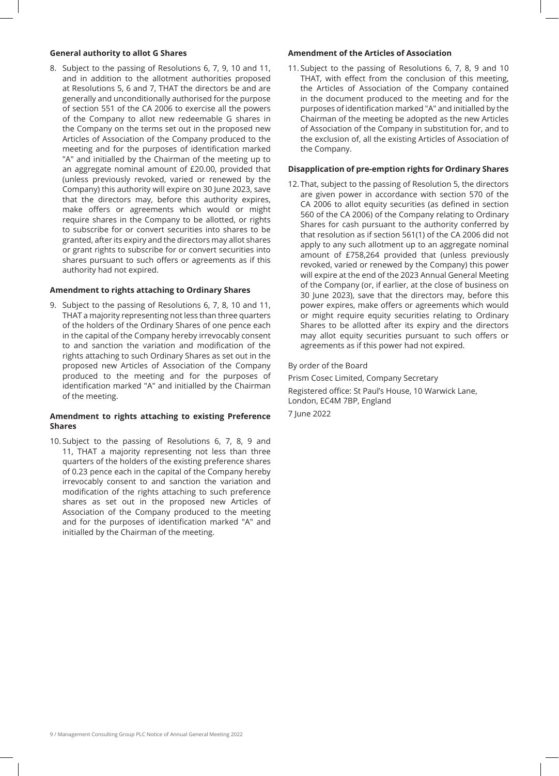### **General authority to allot G Shares**

8. Subject to the passing of Resolutions 6, 7, 9, 10 and 11, and in addition to the allotment authorities proposed at Resolutions 5, 6 and 7, THAT the directors be and are generally and unconditionally authorised for the purpose of section 551 of the CA 2006 to exercise all the powers of the Company to allot new redeemable G shares in the Company on the terms set out in the proposed new Articles of Association of the Company produced to the meeting and for the purposes of identification marked "A" and initialled by the Chairman of the meeting up to an aggregate nominal amount of £20.00, provided that (unless previously revoked, varied or renewed by the Company) this authority will expire on 30 June 2023, save that the directors may, before this authority expires, make offers or agreements which would or might require shares in the Company to be allotted, or rights to subscribe for or convert securities into shares to be granted, after its expiry and the directors may allot shares or grant rights to subscribe for or convert securities into shares pursuant to such offers or agreements as if this authority had not expired.

### **Amendment to rights attaching to Ordinary Shares**

9. Subject to the passing of Resolutions 6, 7, 8, 10 and 11, THAT a majority representing not less than three quarters of the holders of the Ordinary Shares of one pence each in the capital of the Company hereby irrevocably consent to and sanction the variation and modification of the rights attaching to such Ordinary Shares as set out in the proposed new Articles of Association of the Company produced to the meeting and for the purposes of identification marked "A" and initialled by the Chairman of the meeting.

# **Amendment to rights attaching to existing Preference Shares**

10. Subject to the passing of Resolutions 6, 7, 8, 9 and 11, THAT a majority representing not less than three quarters of the holders of the existing preference shares of 0.23 pence each in the capital of the Company hereby irrevocably consent to and sanction the variation and modification of the rights attaching to such preference shares as set out in the proposed new Articles of Association of the Company produced to the meeting and for the purposes of identification marked "A" and initialled by the Chairman of the meeting.

## **Amendment of the Articles of Association**

11. Subject to the passing of Resolutions 6, 7, 8, 9 and 10 THAT, with effect from the conclusion of this meeting, the Articles of Association of the Company contained in the document produced to the meeting and for the purposes of identification marked "A" and initialled by the Chairman of the meeting be adopted as the new Articles of Association of the Company in substitution for, and to the exclusion of, all the existing Articles of Association of the Company.

## **Disapplication of pre-emption rights for Ordinary Shares**

12. That, subject to the passing of Resolution 5, the directors are given power in accordance with section 570 of the CA 2006 to allot equity securities (as defined in section 560 of the CA 2006) of the Company relating to Ordinary Shares for cash pursuant to the authority conferred by that resolution as if section 561(1) of the CA 2006 did not apply to any such allotment up to an aggregate nominal amount of £758,264 provided that (unless previously revoked, varied or renewed by the Company) this power will expire at the end of the 2023 Annual General Meeting of the Company (or, if earlier, at the close of business on 30 June 2023), save that the directors may, before this power expires, make offers or agreements which would or might require equity securities relating to Ordinary Shares to be allotted after its expiry and the directors may allot equity securities pursuant to such offers or agreements as if this power had not expired.

### By order of the Board

Prism Cosec Limited, Company Secretary Registered office: St Paul's House, 10 Warwick Lane, London, EC4M 7BP, England 7 June 2022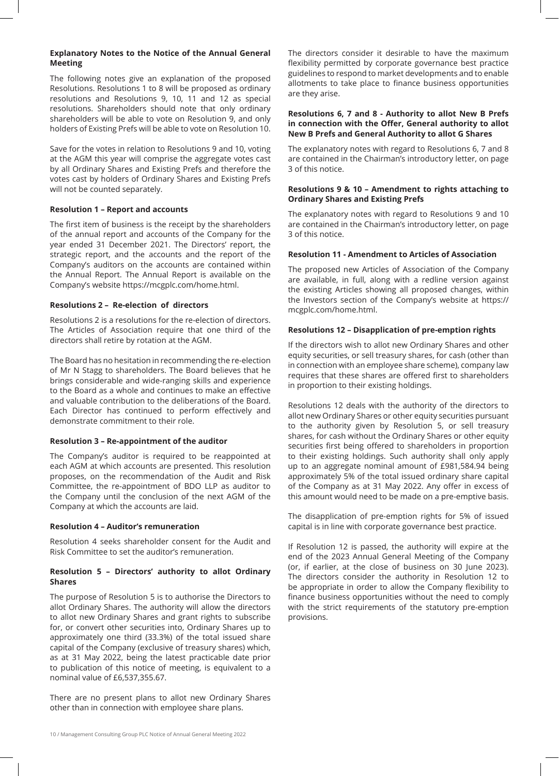# **Explanatory Notes to the Notice of the Annual General Meeting**

The following notes give an explanation of the proposed Resolutions. Resolutions 1 to 8 will be proposed as ordinary resolutions and Resolutions 9, 10, 11 and 12 as special resolutions. Shareholders should note that only ordinary shareholders will be able to vote on Resolution 9, and only holders of Existing Prefs will be able to vote on Resolution 10.

Save for the votes in relation to Resolutions 9 and 10, voting at the AGM this year will comprise the aggregate votes cast by all Ordinary Shares and Existing Prefs and therefore the votes cast by holders of Ordinary Shares and Existing Prefs will not be counted separately.

# **Resolution 1 – Report and accounts**

The first item of business is the receipt by the shareholders of the annual report and accounts of the Company for the year ended 31 December 2021. The Directors' report, the strategic report, and the accounts and the report of the Company's auditors on the accounts are contained within the Annual Report. The Annual Report is available on the Company's website https://mcgplc.com/home.html.

# **Resolutions 2 – Re-election of directors**

Resolutions 2 is a resolutions for the re-election of directors. The Articles of Association require that one third of the directors shall retire by rotation at the AGM.

The Board has no hesitation in recommending the re-election of Mr N Stagg to shareholders. The Board believes that he brings considerable and wide-ranging skills and experience to the Board as a whole and continues to make an effective and valuable contribution to the deliberations of the Board. Each Director has continued to perform effectively and demonstrate commitment to their role.

## **Resolution 3 – Re-appointment of the auditor**

The Company's auditor is required to be reappointed at each AGM at which accounts are presented. This resolution proposes, on the recommendation of the Audit and Risk Committee, the re-appointment of BDO LLP as auditor to the Company until the conclusion of the next AGM of the Company at which the accounts are laid.

## **Resolution 4 – Auditor's remuneration**

Resolution 4 seeks shareholder consent for the Audit and Risk Committee to set the auditor's remuneration.

# **Resolution 5 – Directors' authority to allot Ordinary Shares**

The purpose of Resolution 5 is to authorise the Directors to allot Ordinary Shares. The authority will allow the directors to allot new Ordinary Shares and grant rights to subscribe for, or convert other securities into, Ordinary Shares up to approximately one third (33.3%) of the total issued share capital of the Company (exclusive of treasury shares) which, as at 31 May 2022, being the latest practicable date prior to publication of this notice of meeting, is equivalent to a nominal value of £6,537,355.67.

There are no present plans to allot new Ordinary Shares other than in connection with employee share plans.

The directors consider it desirable to have the maximum flexibility permitted by corporate governance best practice guidelines to respond to market developments and to enable allotments to take place to finance business opportunities are they arise.

# **Resolutions 6, 7 and 8 - Authority to allot New B Prefs in connection with the Offer, General authority to allot New B Prefs and General Authority to allot G Shares**

The explanatory notes with regard to Resolutions 6, 7 and 8 are contained in the Chairman's introductory letter, on page 3 of this notice.

## **Resolutions 9 & 10 – Amendment to rights attaching to Ordinary Shares and Existing Prefs**

The explanatory notes with regard to Resolutions 9 and 10 are contained in the Chairman's introductory letter, on page 3 of this notice.

# **Resolution 11 - Amendment to Articles of Association**

The proposed new Articles of Association of the Company are available, in full, along with a redline version against the existing Articles showing all proposed changes, within the Investors section of the Company's website at https:// mcgplc.com/home.html.

# **Resolutions 12 – Disapplication of pre-emption rights**

If the directors wish to allot new Ordinary Shares and other equity securities, or sell treasury shares, for cash (other than in connection with an employee share scheme), company law requires that these shares are offered first to shareholders in proportion to their existing holdings.

Resolutions 12 deals with the authority of the directors to allot new Ordinary Shares or other equity securities pursuant to the authority given by Resolution 5, or sell treasury shares, for cash without the Ordinary Shares or other equity securities first being offered to shareholders in proportion to their existing holdings. Such authority shall only apply up to an aggregate nominal amount of £981,584.94 being approximately 5% of the total issued ordinary share capital of the Company as at 31 May 2022. Any offer in excess of this amount would need to be made on a pre-emptive basis.

The disapplication of pre-emption rights for 5% of issued capital is in line with corporate governance best practice.

If Resolution 12 is passed, the authority will expire at the end of the 2023 Annual General Meeting of the Company (or, if earlier, at the close of business on 30 June 2023). The directors consider the authority in Resolution 12 to be appropriate in order to allow the Company flexibility to finance business opportunities without the need to comply with the strict requirements of the statutory pre-emption provisions.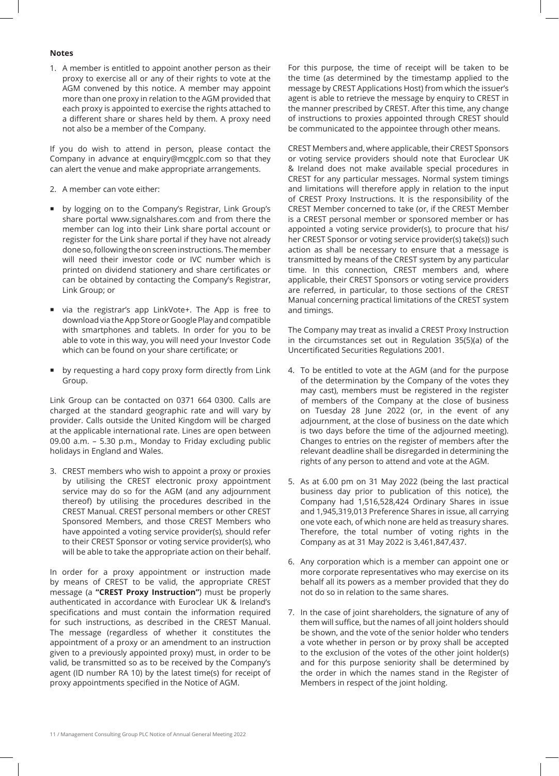### **Notes**

1. A member is entitled to appoint another person as their proxy to exercise all or any of their rights to vote at the AGM convened by this notice. A member may appoint more than one proxy in relation to the AGM provided that each proxy is appointed to exercise the rights attached to a different share or shares held by them. A proxy need not also be a member of the Company.

If you do wish to attend in person, please contact the Company in advance at enquiry@mcgplc.com so that they can alert the venue and make appropriate arrangements.

- 2. A member can vote either:
- by logging on to the Company's Registrar, Link Group's share portal www.signalshares.com and from there the member can log into their Link share portal account or register for the Link share portal if they have not already done so, following the on screen instructions. The member will need their investor code or IVC number which is printed on dividend stationery and share certificates or can be obtained by contacting the Company's Registrar, Link Group; or
- via the registrar's app LinkVote+. The App is free to download via the App Store or Google Play and compatible with smartphones and tablets. In order for you to be able to vote in this way, you will need your Investor Code which can be found on your share certificate; or
- **by requesting a hard copy proxy form directly from Link** Group.

Link Group can be contacted on 0371 664 0300. Calls are charged at the standard geographic rate and will vary by provider. Calls outside the United Kingdom will be charged at the applicable international rate. Lines are open between 09.00 a.m. – 5.30 p.m., Monday to Friday excluding public holidays in England and Wales.

3. CREST members who wish to appoint a proxy or proxies by utilising the CREST electronic proxy appointment service may do so for the AGM (and any adjournment thereof) by utilising the procedures described in the CREST Manual. CREST personal members or other CREST Sponsored Members, and those CREST Members who have appointed a voting service provider(s), should refer to their CREST Sponsor or voting service provider(s), who will be able to take the appropriate action on their behalf.

In order for a proxy appointment or instruction made by means of CREST to be valid, the appropriate CREST message (a **"CREST Proxy Instruction"**) must be properly authenticated in accordance with Euroclear UK & Ireland's specifications and must contain the information required for such instructions, as described in the CREST Manual. The message (regardless of whether it constitutes the appointment of a proxy or an amendment to an instruction given to a previously appointed proxy) must, in order to be valid, be transmitted so as to be received by the Company's agent (ID number RA 10) by the latest time(s) for receipt of proxy appointments specified in the Notice of AGM.

For this purpose, the time of receipt will be taken to be the time (as determined by the timestamp applied to the message by CREST Applications Host) from which the issuer's agent is able to retrieve the message by enquiry to CREST in the manner prescribed by CREST. After this time, any change of instructions to proxies appointed through CREST should be communicated to the appointee through other means.

CREST Members and, where applicable, their CREST Sponsors or voting service providers should note that Euroclear UK & Ireland does not make available special procedures in CREST for any particular messages. Normal system timings and limitations will therefore apply in relation to the input of CREST Proxy Instructions. It is the responsibility of the CREST Member concerned to take (or, if the CREST Member is a CREST personal member or sponsored member or has appointed a voting service provider(s), to procure that his/ her CREST Sponsor or voting service provider(s) take(s)) such action as shall be necessary to ensure that a message is transmitted by means of the CREST system by any particular time. In this connection, CREST members and, where applicable, their CREST Sponsors or voting service providers are referred, in particular, to those sections of the CREST Manual concerning practical limitations of the CREST system and timings.

The Company may treat as invalid a CREST Proxy Instruction in the circumstances set out in Regulation 35(5)(a) of the Uncertificated Securities Regulations 2001.

- 4. To be entitled to vote at the AGM (and for the purpose of the determination by the Company of the votes they may cast), members must be registered in the register of members of the Company at the close of business on Tuesday 28 June 2022 (or, in the event of any adjournment, at the close of business on the date which is two days before the time of the adjourned meeting). Changes to entries on the register of members after the relevant deadline shall be disregarded in determining the rights of any person to attend and vote at the AGM.
- 5. As at 6.00 pm on 31 May 2022 (being the last practical business day prior to publication of this notice), the Company had 1,516,528,424 Ordinary Shares in issue and 1,945,319,013 Preference Shares in issue, all carrying one vote each, of which none are held as treasury shares. Therefore, the total number of voting rights in the Company as at 31 May 2022 is 3,461,847,437.
- 6. Any corporation which is a member can appoint one or more corporate representatives who may exercise on its behalf all its powers as a member provided that they do not do so in relation to the same shares.
- 7. In the case of joint shareholders, the signature of any of them will suffice, but the names of all joint holders should be shown, and the vote of the senior holder who tenders a vote whether in person or by proxy shall be accepted to the exclusion of the votes of the other joint holder(s) and for this purpose seniority shall be determined by the order in which the names stand in the Register of Members in respect of the joint holding.